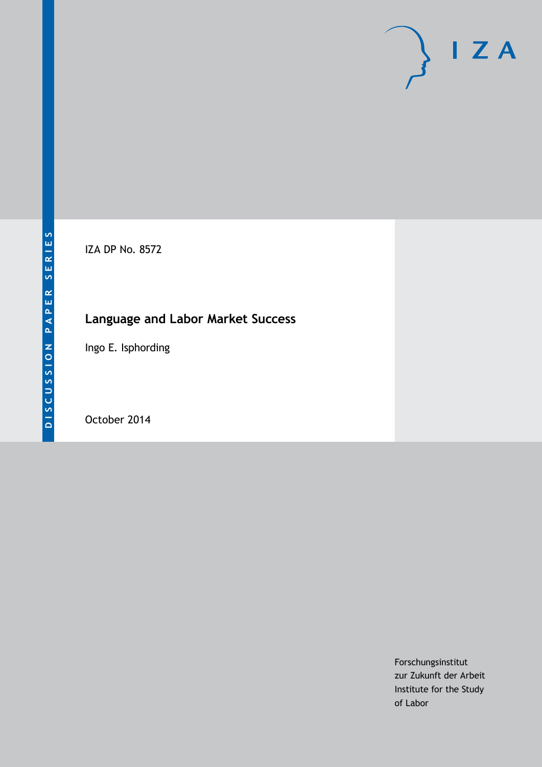# $I Z A$

IZA DP No. 8572

# **Language and Labor Market Success**

Ingo E. Isphording

October 2014

Forschungsinstitut zur Zukunft der Arbeit Institute for the Study of Labor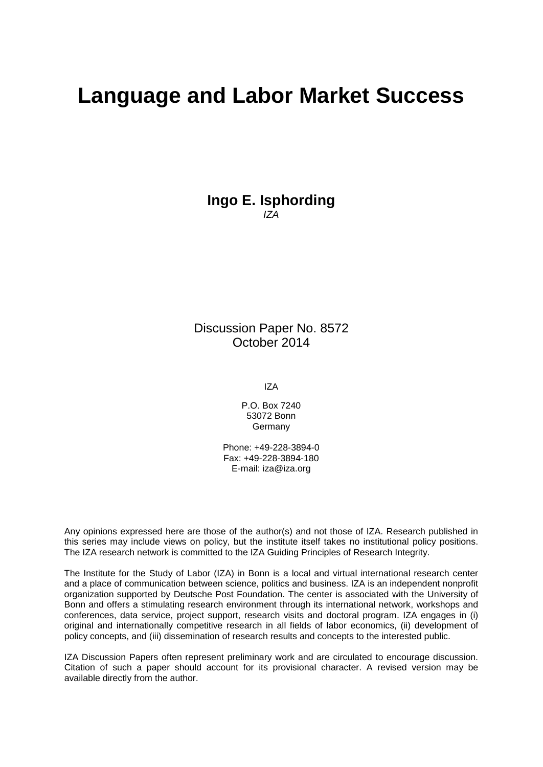# **Language and Labor Market Success**

**Ingo E. Isphording** *IZA*

Discussion Paper No. 8572 October 2014

IZA

P.O. Box 7240 53072 Bonn Germany

Phone: +49-228-3894-0 Fax: +49-228-3894-180 E-mail: [iza@iza.org](mailto:iza@iza.org)

Any opinions expressed here are those of the author(s) and not those of IZA. Research published in this series may include views on policy, but the institute itself takes no institutional policy positions. The IZA research network is committed to the IZA Guiding Principles of Research Integrity.

The Institute for the Study of Labor (IZA) in Bonn is a local and virtual international research center and a place of communication between science, politics and business. IZA is an independent nonprofit organization supported by Deutsche Post Foundation. The center is associated with the University of Bonn and offers a stimulating research environment through its international network, workshops and conferences, data service, project support, research visits and doctoral program. IZA engages in (i) original and internationally competitive research in all fields of labor economics, (ii) development of policy concepts, and (iii) dissemination of research results and concepts to the interested public.

<span id="page-1-0"></span>IZA Discussion Papers often represent preliminary work and are circulated to encourage discussion. Citation of such a paper should account for its provisional character. A revised version may be available directly from the author.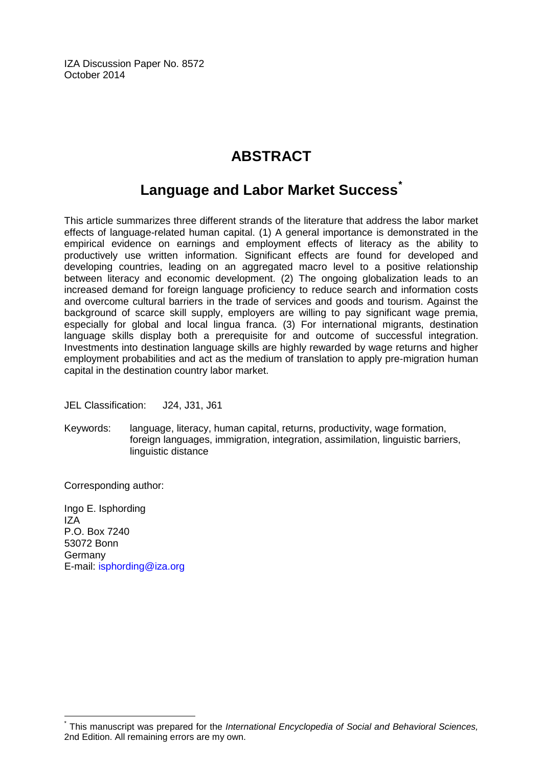IZA Discussion Paper No. 8572 October 2014

## **ABSTRACT**

### **Language and Labor Market Success[\\*](#page-1-0)**

This article summarizes three different strands of the literature that address the labor market effects of language-related human capital. (1) A general importance is demonstrated in the empirical evidence on earnings and employment effects of literacy as the ability to productively use written information. Significant effects are found for developed and developing countries, leading on an aggregated macro level to a positive relationship between literacy and economic development. (2) The ongoing globalization leads to an increased demand for foreign language proficiency to reduce search and information costs and overcome cultural barriers in the trade of services and goods and tourism. Against the background of scarce skill supply, employers are willing to pay significant wage premia, especially for global and local lingua franca. (3) For international migrants, destination language skills display both a prerequisite for and outcome of successful integration. Investments into destination language skills are highly rewarded by wage returns and higher employment probabilities and act as the medium of translation to apply pre-migration human capital in the destination country labor market.

JEL Classification: J24, J31, J61

Keywords: language, literacy, human capital, returns, productivity, wage formation, foreign languages, immigration, integration, assimilation, linguistic barriers, linguistic distance

Corresponding author:

Ingo E. Isphording IZA P.O. Box 7240 53072 Bonn Germany E-mail: [isphording@iza.org](mailto:isphording@iza.org)

\* This manuscript was prepared for the *International Encyclopedia of Social and Behavioral Sciences,* 2nd Edition. All remaining errors are my own.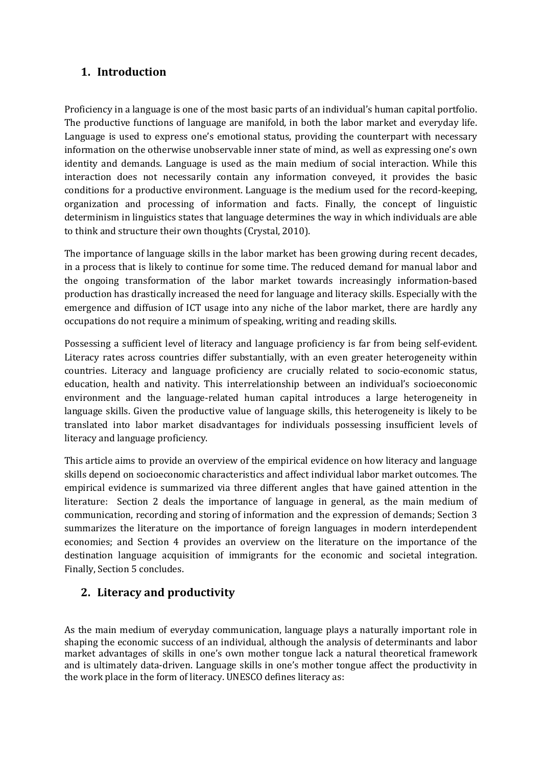#### **1. Introduction**

Proficiency in a language is one of the most basic parts of an individual's human capital portfolio. The productive functions of language are manifold, in both the labor market and everyday life. Language is used to express one's emotional status, providing the counterpart with necessary information on the otherwise unobservable inner state of mind, as well as expressing one's own identity and demands. Language is used as the main medium of social interaction. While this interaction does not necessarily contain any information conveyed, it provides the basic conditions for a productive environment. Language is the medium used for the record-keeping, organization and processing of information and facts. Finally, the concept of linguistic determinism in linguistics states that language determines the way in which individuals are able to think and structure their own thoughts (Crystal, 2010).

The importance of language skills in the labor market has been growing during recent decades, in a process that is likely to continue for some time. The reduced demand for manual labor and the ongoing transformation of the labor market towards increasingly information-based production has drastically increased the need for language and literacy skills. Especially with the emergence and diffusion of ICT usage into any niche of the labor market, there are hardly any occupations do not require a minimum of speaking, writing and reading skills.

Possessing a sufficient level of literacy and language proficiency is far from being self-evident. Literacy rates across countries differ substantially, with an even greater heterogeneity within countries. Literacy and language proficiency are crucially related to socio-economic status, education, health and nativity. This interrelationship between an individual's socioeconomic environment and the language-related human capital introduces a large heterogeneity in language skills. Given the productive value of language skills, this heterogeneity is likely to be translated into labor market disadvantages for individuals possessing insufficient levels of literacy and language proficiency.

This article aims to provide an overview of the empirical evidence on how literacy and language skills depend on socioeconomic characteristics and affect individual labor market outcomes. The empirical evidence is summarized via three different angles that have gained attention in the literature: Section 2 deals the importance of language in general, as the main medium of communication, recording and storing of information and the expression of demands; Section 3 summarizes the literature on the importance of foreign languages in modern interdependent economies; and Section 4 provides an overview on the literature on the importance of the destination language acquisition of immigrants for the economic and societal integration. Finally, Section 5 concludes.

#### **2. Literacy and productivity**

As the main medium of everyday communication, language plays a naturally important role in shaping the economic success of an individual, although the analysis of determinants and labor market advantages of skills in one's own mother tongue lack a natural theoretical framework and is ultimately data-driven. Language skills in one's mother tongue affect the productivity in the work place in the form of literacy. UNESCO defines literacy as: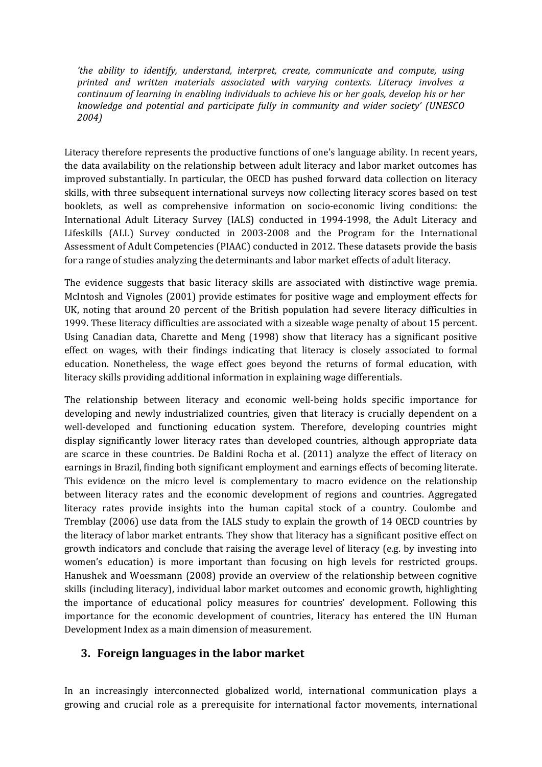*'the ability to identify, understand, interpret, create, communicate and compute, using printed and written materials associated with varying contexts. Literacy involves a continuum of learning in enabling individuals to achieve his or her goals, develop his or her knowledge and potential and participate fully in community and wider society' (UNESCO 2004)*

Literacy therefore represents the productive functions of one's language ability. In recent years, the data availability on the relationship between adult literacy and labor market outcomes has improved substantially. In particular, the OECD has pushed forward data collection on literacy skills, with three subsequent international surveys now collecting literacy scores based on test booklets, as well as comprehensive information on socio-economic living conditions: the International Adult Literacy Survey (IALS) conducted in 1994-1998, the Adult Literacy and Lifeskills (ALL) Survey conducted in 2003-2008 and the Program for the International Assessment of Adult Competencies (PIAAC) conducted in 2012. These datasets provide the basis for a range of studies analyzing the determinants and labor market effects of adult literacy.

The evidence suggests that basic literacy skills are associated with distinctive wage premia. McIntosh and Vignoles (2001) provide estimates for positive wage and employment effects for UK, noting that around 20 percent of the British population had severe literacy difficulties in 1999. These literacy difficulties are associated with a sizeable wage penalty of about 15 percent. Using Canadian data, Charette and Meng (1998) show that literacy has a significant positive effect on wages, with their findings indicating that literacy is closely associated to formal education. Nonetheless, the wage effect goes beyond the returns of formal education, with literacy skills providing additional information in explaining wage differentials.

The relationship between literacy and economic well-being holds specific importance for developing and newly industrialized countries, given that literacy is crucially dependent on a well-developed and functioning education system. Therefore, developing countries might display significantly lower literacy rates than developed countries, although appropriate data are scarce in these countries. De Baldini Rocha et al. (2011) analyze the effect of literacy on earnings in Brazil, finding both significant employment and earnings effects of becoming literate. This evidence on the micro level is complementary to macro evidence on the relationship between literacy rates and the economic development of regions and countries. Aggregated literacy rates provide insights into the human capital stock of a country. Coulombe and Tremblay (2006) use data from the IALS study to explain the growth of 14 OECD countries by the literacy of labor market entrants. They show that literacy has a significant positive effect on growth indicators and conclude that raising the average level of literacy (e.g. by investing into women's education) is more important than focusing on high levels for restricted groups. Hanushek and Woessmann (2008) provide an overview of the relationship between cognitive skills (including literacy), individual labor market outcomes and economic growth, highlighting the importance of educational policy measures for countries' development. Following this importance for the economic development of countries, literacy has entered the UN Human Development Index as a main dimension of measurement.

#### **3. Foreign languages in the labor market**

In an increasingly interconnected globalized world, international communication plays a growing and crucial role as a prerequisite for international factor movements, international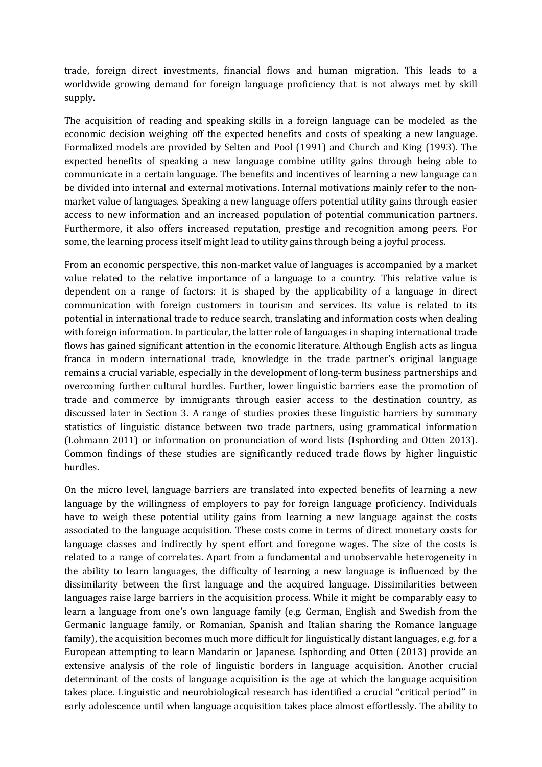trade, foreign direct investments, financial flows and human migration. This leads to a worldwide growing demand for foreign language proficiency that is not always met by skill supply.

The acquisition of reading and speaking skills in a foreign language can be modeled as the economic decision weighing off the expected benefits and costs of speaking a new language. Formalized models are provided by Selten and Pool (1991) and Church and King (1993). The expected benefits of speaking a new language combine utility gains through being able to communicate in a certain language. The benefits and incentives of learning a new language can be divided into internal and external motivations. Internal motivations mainly refer to the nonmarket value of languages. Speaking a new language offers potential utility gains through easier access to new information and an increased population of potential communication partners. Furthermore, it also offers increased reputation, prestige and recognition among peers. For some, the learning process itself might lead to utility gains through being a joyful process.

From an economic perspective, this non-market value of languages is accompanied by a market value related to the relative importance of a language to a country. This relative value is dependent on a range of factors: it is shaped by the applicability of a language in direct communication with foreign customers in tourism and services. Its value is related to its potential in international trade to reduce search, translating and information costs when dealing with foreign information. In particular, the latter role of languages in shaping international trade flows has gained significant attention in the economic literature. Although English acts as lingua franca in modern international trade, knowledge in the trade partner's original language remains a crucial variable, especially in the development of long-term business partnerships and overcoming further cultural hurdles. Further, lower linguistic barriers ease the promotion of trade and commerce by immigrants through easier access to the destination country, as discussed later in Section 3. A range of studies proxies these linguistic barriers by summary statistics of linguistic distance between two trade partners, using grammatical information (Lohmann 2011) or information on pronunciation of word lists (Isphording and Otten 2013). Common findings of these studies are significantly reduced trade flows by higher linguistic hurdles.

On the micro level, language barriers are translated into expected benefits of learning a new language by the willingness of employers to pay for foreign language proficiency. Individuals have to weigh these potential utility gains from learning a new language against the costs associated to the language acquisition. These costs come in terms of direct monetary costs for language classes and indirectly by spent effort and foregone wages. The size of the costs is related to a range of correlates. Apart from a fundamental and unobservable heterogeneity in the ability to learn languages, the difficulty of learning a new language is influenced by the dissimilarity between the first language and the acquired language. Dissimilarities between languages raise large barriers in the acquisition process. While it might be comparably easy to learn a language from one's own language family (e.g. German, English and Swedish from the Germanic language family, or Romanian, Spanish and Italian sharing the Romance language family), the acquisition becomes much more difficult for linguistically distant languages, e.g. for a European attempting to learn Mandarin or Japanese. Isphording and Otten (2013) provide an extensive analysis of the role of linguistic borders in language acquisition. Another crucial determinant of the costs of language acquisition is the age at which the language acquisition takes place. Linguistic and neurobiological research has identified a crucial "critical period'' in early adolescence until when language acquisition takes place almost effortlessly. The ability to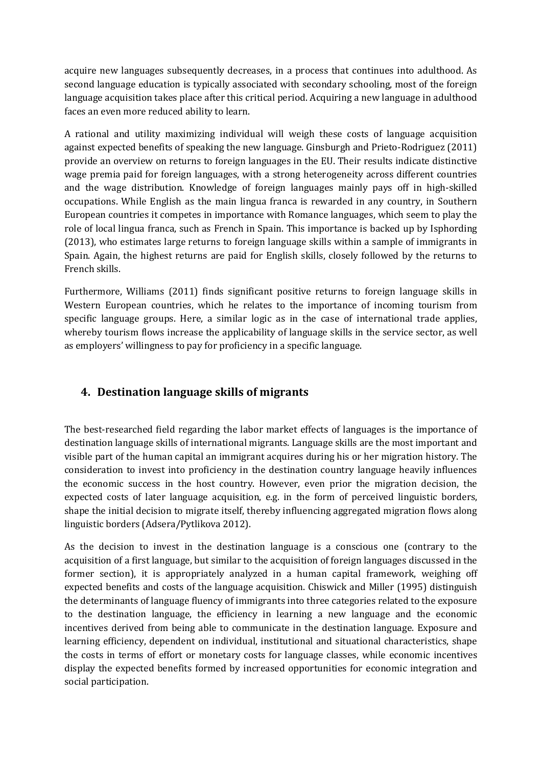acquire new languages subsequently decreases, in a process that continues into adulthood. As second language education is typically associated with secondary schooling, most of the foreign language acquisition takes place after this critical period. Acquiring a new language in adulthood faces an even more reduced ability to learn.

A rational and utility maximizing individual will weigh these costs of language acquisition against expected benefits of speaking the new language. Ginsburgh and Prieto-Rodriguez (2011) provide an overview on returns to foreign languages in the EU. Their results indicate distinctive wage premia paid for foreign languages, with a strong heterogeneity across different countries and the wage distribution. Knowledge of foreign languages mainly pays off in high-skilled occupations. While English as the main lingua franca is rewarded in any country, in Southern European countries it competes in importance with Romance languages, which seem to play the role of local lingua franca, such as French in Spain. This importance is backed up by Isphording (2013), who estimates large returns to foreign language skills within a sample of immigrants in Spain. Again, the highest returns are paid for English skills, closely followed by the returns to French skills.

Furthermore, Williams (2011) finds significant positive returns to foreign language skills in Western European countries, which he relates to the importance of incoming tourism from specific language groups. Here, a similar logic as in the case of international trade applies, whereby tourism flows increase the applicability of language skills in the service sector, as well as employers' willingness to pay for proficiency in a specific language.

#### **4. Destination language skills of migrants**

The best-researched field regarding the labor market effects of languages is the importance of destination language skills of international migrants. Language skills are the most important and visible part of the human capital an immigrant acquires during his or her migration history. The consideration to invest into proficiency in the destination country language heavily influences the economic success in the host country. However, even prior the migration decision, the expected costs of later language acquisition, e.g. in the form of perceived linguistic borders, shape the initial decision to migrate itself, thereby influencing aggregated migration flows along linguistic borders (Adsera/Pytlikova 2012).

As the decision to invest in the destination language is a conscious one (contrary to the acquisition of a first language, but similar to the acquisition of foreign languages discussed in the former section), it is appropriately analyzed in a human capital framework, weighing off expected benefits and costs of the language acquisition. Chiswick and Miller (1995) distinguish the determinants of language fluency of immigrants into three categories related to the exposure to the destination language, the efficiency in learning a new language and the economic incentives derived from being able to communicate in the destination language. Exposure and learning efficiency, dependent on individual, institutional and situational characteristics, shape the costs in terms of effort or monetary costs for language classes, while economic incentives display the expected benefits formed by increased opportunities for economic integration and social participation.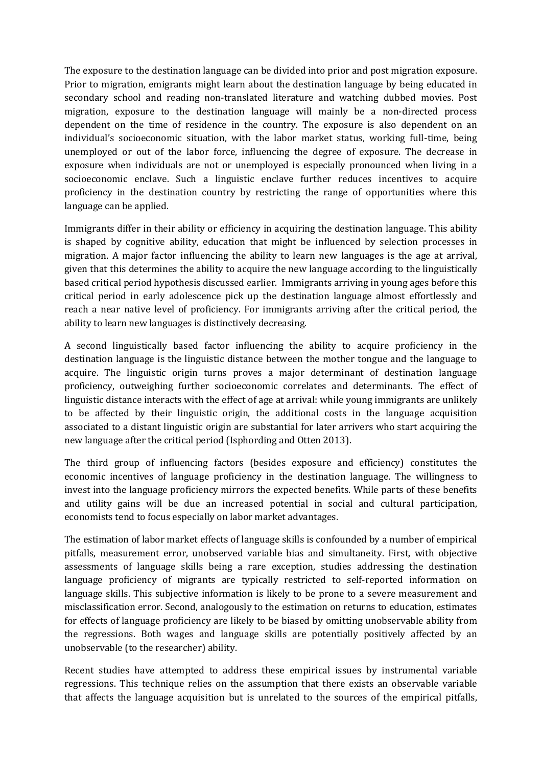The exposure to the destination language can be divided into prior and post migration exposure. Prior to migration, emigrants might learn about the destination language by being educated in secondary school and reading non-translated literature and watching dubbed movies. Post migration, exposure to the destination language will mainly be a non-directed process dependent on the time of residence in the country. The exposure is also dependent on an individual's socioeconomic situation, with the labor market status, working full-time, being unemployed or out of the labor force, influencing the degree of exposure. The decrease in exposure when individuals are not or unemployed is especially pronounced when living in a socioeconomic enclave. Such a linguistic enclave further reduces incentives to acquire proficiency in the destination country by restricting the range of opportunities where this language can be applied.

Immigrants differ in their ability or efficiency in acquiring the destination language. This ability is shaped by cognitive ability, education that might be influenced by selection processes in migration. A major factor influencing the ability to learn new languages is the age at arrival, given that this determines the ability to acquire the new language according to the linguistically based critical period hypothesis discussed earlier. Immigrants arriving in young ages before this critical period in early adolescence pick up the destination language almost effortlessly and reach a near native level of proficiency. For immigrants arriving after the critical period, the ability to learn new languages is distinctively decreasing.

A second linguistically based factor influencing the ability to acquire proficiency in the destination language is the linguistic distance between the mother tongue and the language to acquire. The linguistic origin turns proves a major determinant of destination language proficiency, outweighing further socioeconomic correlates and determinants. The effect of linguistic distance interacts with the effect of age at arrival: while young immigrants are unlikely to be affected by their linguistic origin, the additional costs in the language acquisition associated to a distant linguistic origin are substantial for later arrivers who start acquiring the new language after the critical period (Isphording and Otten 2013).

The third group of influencing factors (besides exposure and efficiency) constitutes the economic incentives of language proficiency in the destination language. The willingness to invest into the language proficiency mirrors the expected benefits. While parts of these benefits and utility gains will be due an increased potential in social and cultural participation, economists tend to focus especially on labor market advantages.

The estimation of labor market effects of language skills is confounded by a number of empirical pitfalls, measurement error, unobserved variable bias and simultaneity. First, with objective assessments of language skills being a rare exception, studies addressing the destination language proficiency of migrants are typically restricted to self-reported information on language skills. This subjective information is likely to be prone to a severe measurement and misclassification error. Second, analogously to the estimation on returns to education, estimates for effects of language proficiency are likely to be biased by omitting unobservable ability from the regressions. Both wages and language skills are potentially positively affected by an unobservable (to the researcher) ability.

Recent studies have attempted to address these empirical issues by instrumental variable regressions. This technique relies on the assumption that there exists an observable variable that affects the language acquisition but is unrelated to the sources of the empirical pitfalls,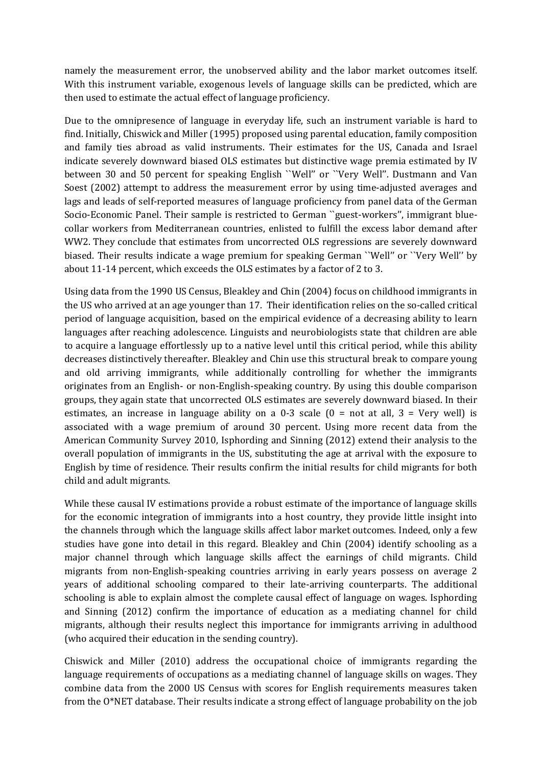namely the measurement error, the unobserved ability and the labor market outcomes itself. With this instrument variable, exogenous levels of language skills can be predicted, which are then used to estimate the actual effect of language proficiency.

Due to the omnipresence of language in everyday life, such an instrument variable is hard to find. Initially, Chiswick and Miller (1995) proposed using parental education, family composition and family ties abroad as valid instruments. Their estimates for the US, Canada and Israel indicate severely downward biased OLS estimates but distinctive wage premia estimated by IV between 30 and 50 percent for speaking English ``Well'' or ``Very Well''. Dustmann and Van Soest (2002) attempt to address the measurement error by using time-adjusted averages and lags and leads of self-reported measures of language proficiency from panel data of the German Socio-Economic Panel. Their sample is restricted to German ``guest-workers'', immigrant bluecollar workers from Mediterranean countries, enlisted to fulfill the excess labor demand after WW2. They conclude that estimates from uncorrected OLS regressions are severely downward biased. Their results indicate a wage premium for speaking German ``Well'' or ``Very Well'' by about 11-14 percent, which exceeds the OLS estimates by a factor of 2 to 3.

Using data from the 1990 US Census, Bleakley and Chin (2004) focus on childhood immigrants in the US who arrived at an age younger than 17. Their identification relies on the so-called critical period of language acquisition, based on the empirical evidence of a decreasing ability to learn languages after reaching adolescence. Linguists and neurobiologists state that children are able to acquire a language effortlessly up to a native level until this critical period, while this ability decreases distinctively thereafter. Bleakley and Chin use this structural break to compare young and old arriving immigrants, while additionally controlling for whether the immigrants originates from an English- or non-English-speaking country. By using this double comparison groups, they again state that uncorrected OLS estimates are severely downward biased. In their estimates, an increase in language ability on a 0-3 scale  $(0 = not at all, 3 = Very well)$  is associated with a wage premium of around 30 percent. Using more recent data from the American Community Survey 2010, Isphording and Sinning (2012) extend their analysis to the overall population of immigrants in the US, substituting the age at arrival with the exposure to English by time of residence. Their results confirm the initial results for child migrants for both child and adult migrants.

While these causal IV estimations provide a robust estimate of the importance of language skills for the economic integration of immigrants into a host country, they provide little insight into the channels through which the language skills affect labor market outcomes. Indeed, only a few studies have gone into detail in this regard. Bleakley and Chin (2004) identify schooling as a major channel through which language skills affect the earnings of child migrants. Child migrants from non-English-speaking countries arriving in early years possess on average 2 years of additional schooling compared to their late-arriving counterparts. The additional schooling is able to explain almost the complete causal effect of language on wages. Isphording and Sinning (2012) confirm the importance of education as a mediating channel for child migrants, although their results neglect this importance for immigrants arriving in adulthood (who acquired their education in the sending country).

Chiswick and Miller (2010) address the occupational choice of immigrants regarding the language requirements of occupations as a mediating channel of language skills on wages. They combine data from the 2000 US Census with scores for English requirements measures taken from the O\*NET database. Their results indicate a strong effect of language probability on the job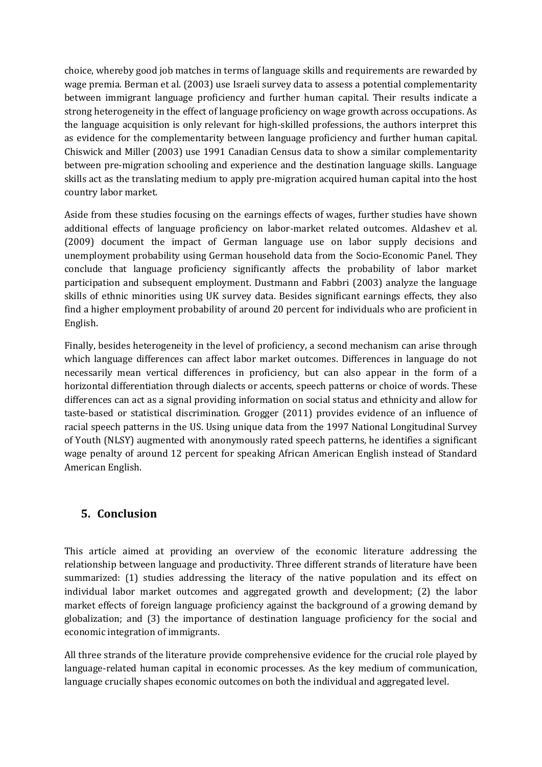choice, whereby good job matches in terms of language skills and requirements are rewarded by wage premia. Berman et al. (2003) use Israeli survey data to assess a potential complementarity between immigrant language proficiency and further human capital. Their results indicate a strong heterogeneity in the effect of language proficiency on wage growth across occupations. As the language acquisition is only relevant for high-skilled professions, the authors interpret this as evidence for the complementarity between language proficiency and further human capital. Chiswick and Miller (2003) use 1991 Canadian Census data to show a similar complementarity between pre-migration schooling and experience and the destination language skills. Language skills act as the translating medium to apply pre-migration acquired human capital into the host country labor market.

Aside from these studies focusing on the earnings effects of wages, further studies have shown additional effects of language proficiency on labor-market related outcomes. Aldashev et al. (2009) document the impact of German language use on labor supply decisions and unemployment probability using German household data from the Socio-Economic Panel. They conclude that language proficiency significantly affects the probability of labor market participation and subsequent employment. Dustmann and Fabbri (2003) analyze the language skills of ethnic minorities using UK survey data. Besides significant earnings effects, they also find a higher employment probability of around 20 percent for individuals who are proficient in English.

Finally, besides heterogeneity in the level of proficiency, a second mechanism can arise through which language differences can affect labor market outcomes. Differences in language do not necessarily mean vertical differences in proficiency, but can also appear in the form of a horizontal differentiation through dialects or accents, speech patterns or choice of words. These differences can act as a signal providing information on social status and ethnicity and allow for taste-based or statistical discrimination. Grogger (2011) provides evidence of an influence of racial speech patterns in the US. Using unique data from the 1997 National Longitudinal Survey of Youth (NLSY) augmented with anonymously rated speech patterns, he identifies a significant wage penalty of around 12 percent for speaking African American English instead of Standard American English.

#### **5. Conclusion**

This article aimed at providing an overview of the economic literature addressing the relationship between language and productivity. Three different strands of literature have been summarized: (1) studies addressing the literacy of the native population and its effect on individual labor market outcomes and aggregated growth and development; (2) the labor market effects of foreign language proficiency against the background of a growing demand by globalization; and (3) the importance of destination language proficiency for the social and economic integration of immigrants.

All three strands of the literature provide comprehensive evidence for the crucial role played by language-related human capital in economic processes. As the key medium of communication, language crucially shapes economic outcomes on both the individual and aggregated level.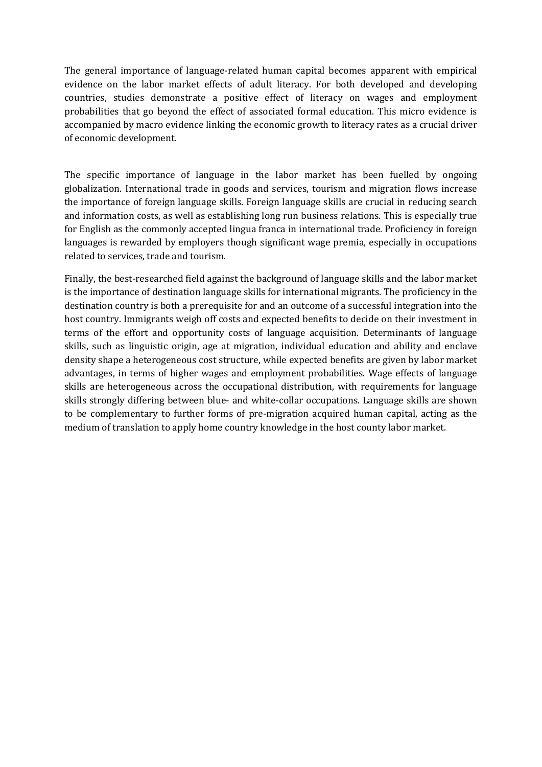The general importance of language-related human capital becomes apparent with empirical evidence on the labor market effects of adult literacy. For both developed and developing countries, studies demonstrate a positive effect of literacy on wages and employment probabilities that go beyond the effect of associated formal education. This micro evidence is accompanied by macro evidence linking the economic growth to literacy rates as a crucial driver of economic development.

The specific importance of language in the labor market has been fuelled by ongoing globalization. International trade in goods and services, tourism and migration flows increase the importance of foreign language skills. Foreign language skills are crucial in reducing search and information costs, as well as establishing long run business relations. This is especially true for English as the commonly accepted lingua franca in international trade. Proficiency in foreign languages is rewarded by employers though significant wage premia, especially in occupations related to services, trade and tourism.

Finally, the best-researched field against the background of language skills and the labor market is the importance of destination language skills for international migrants. The proficiency in the destination country is both a prerequisite for and an outcome of a successful integration into the host country. Immigrants weigh off costs and expected benefits to decide on their investment in terms of the effort and opportunity costs of language acquisition. Determinants of language skills, such as linguistic origin, age at migration, individual education and ability and enclave density shape a heterogeneous cost structure, while expected benefits are given by labor market advantages, in terms of higher wages and employment probabilities. Wage effects of language skills are heterogeneous across the occupational distribution, with requirements for language skills strongly differing between blue- and white-collar occupations. Language skills are shown to be complementary to further forms of pre-migration acquired human capital, acting as the medium of translation to apply home country knowledge in the host county labor market.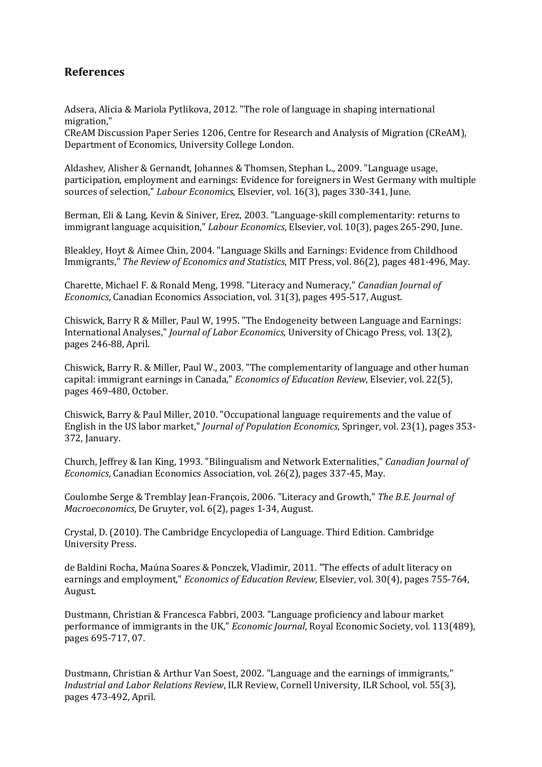#### **References**

Adsera, Alicia & Mariola Pytlikova, 2012. "The role of language in shaping international migration,"

CReAM Discussion Paper Series 1206, Centre for Research and Analysis of Migration (CReAM), Department of Economics, University College London.

Aldashev, Alisher & Gernandt, Johannes & Thomsen, Stephan L., 2009. "Language usage, participation, employment and earnings: Evidence for foreigners in West Germany with multiple sources of selection," *Labour Economics*, Elsevier, vol. 16(3), pages 330-341, June.

Berman, Eli & Lang, Kevin & Siniver, Erez, 2003. "Language-skill complementarity: returns to immigrant language acquisition," *Labour Economics*, Elsevier, vol. 10(3), pages 265-290, June.

Bleakley, Hoyt & Aimee Chin, 2004. "Language Skills and Earnings: Evidence from Childhood Immigrants," *The Review of Economics and Statistics*, MIT Press, vol. 86(2), pages 481-496, May.

Charette, Michael F. & Ronald Meng, 1998. "Literacy and Numeracy," *Canadian Journal of Economics*, Canadian Economics Association, vol. 31(3), pages 495-517, August.

Chiswick, Barry R & Miller, Paul W, 1995. "The Endogeneity between Language and Earnings: International Analyses," *Journal of Labor Economics*, University of Chicago Press, vol. 13(2), pages 246-88, April.

Chiswick, Barry R. & Miller, Paul W., 2003. "The complementarity of language and other human capital: immigrant earnings in Canada," *Economics of Education Review*, Elsevier, vol. 22(5), pages 469-480, October.

Chiswick, Barry & Paul Miller, 2010. "Occupational language requirements and the value of English in the US labor market," *Journal of Population Economics*, Springer, vol. 23(1), pages 353- 372, January.

Church, Jeffrey & Ian King, 1993. "Bilingualism and Network Externalities," *Canadian Journal of Economics*, Canadian Economics Association, vol. 26(2), pages 337-45, May.

Coulombe Serge & Tremblay Jean-François, 2006. "Literacy and Growth," *The B.E. Journal of Macroeconomics*, De Gruyter, vol. 6(2), pages 1-34, August.

Crystal, D. (2010). The Cambridge Encyclopedia of Language. Third Edition. Cambridge University Press.

de Baldini Rocha, Maúna Soares & Ponczek, Vladimir, 2011. "The effects of adult literacy on earnings and employment," *Economics of Education Review*, Elsevier, vol. 30(4), pages 755-764, August.

Dustmann, Christian & Francesca Fabbri, 2003. "Language proficiency and labour market performance of immigrants in the UK," *Economic Journal*, Royal Economic Society, vol. 113(489), pages 695-717, 07.

Dustmann, Christian & Arthur Van Soest, 2002. "Language and the earnings of immigrants," *Industrial and Labor Relations Review*, ILR Review, Cornell University, ILR School, vol. 55(3), pages 473-492, April.